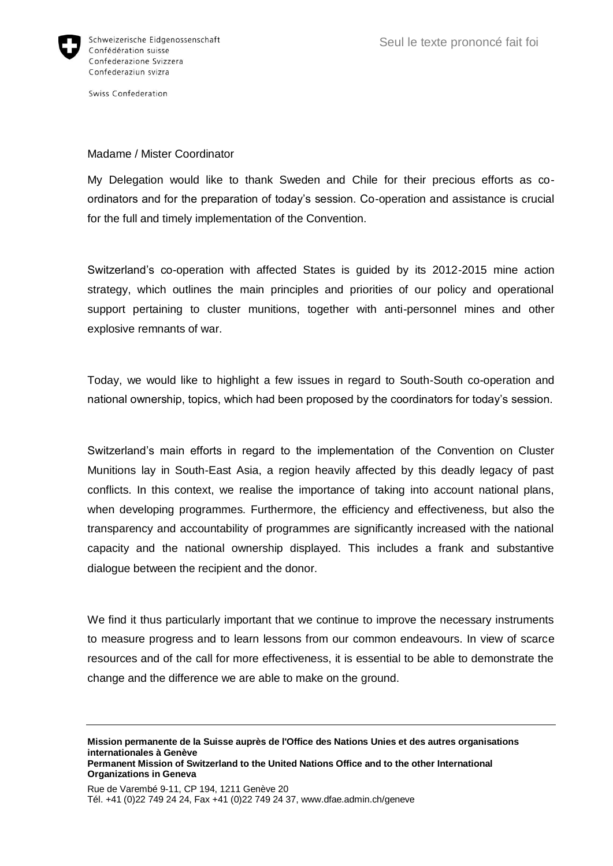

Swiss Confederation

## Madame / Mister Coordinator

My Delegation would like to thank Sweden and Chile for their precious efforts as coordinators and for the preparation of today's session. Co-operation and assistance is crucial for the full and timely implementation of the Convention.

Switzerland's co-operation with affected States is guided by its 2012-2015 mine action strategy, which outlines the main principles and priorities of our policy and operational support pertaining to cluster munitions, together with anti-personnel mines and other explosive remnants of war.

Today, we would like to highlight a few issues in regard to South-South co-operation and national ownership, topics, which had been proposed by the coordinators for today's session.

Switzerland's main efforts in regard to the implementation of the Convention on Cluster Munitions lay in South-East Asia, a region heavily affected by this deadly legacy of past conflicts. In this context, we realise the importance of taking into account national plans, when developing programmes. Furthermore, the efficiency and effectiveness, but also the transparency and accountability of programmes are significantly increased with the national capacity and the national ownership displayed. This includes a frank and substantive dialogue between the recipient and the donor.

We find it thus particularly important that we continue to improve the necessary instruments to measure progress and to learn lessons from our common endeavours. In view of scarce resources and of the call for more effectiveness, it is essential to be able to demonstrate the change and the difference we are able to make on the ground.

**Mission permanente de la Suisse auprès de l'Office des Nations Unies et des autres organisations internationales à Genève Permanent Mission of Switzerland to the United Nations Office and to the other International Organizations in Geneva**